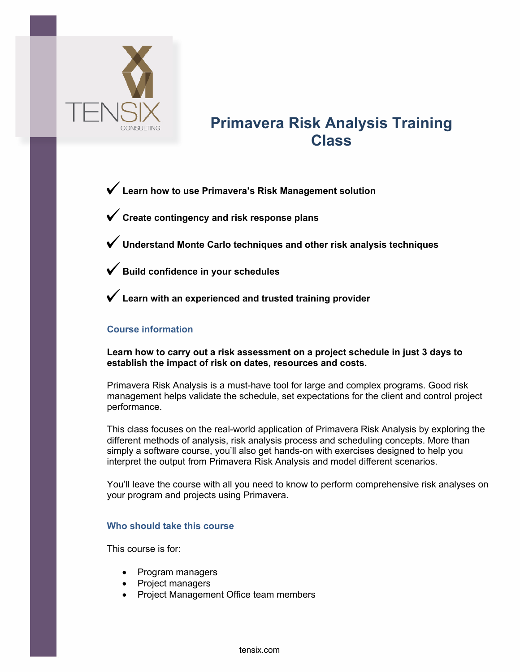

# **Primavera Risk Analysis Training Class**

**Learn how to use Primavera's Risk Management solution**

**Create contingency and risk response plans**

**Understand Monte Carlo techniques and other risk analysis techniques**

**Build confidence in your schedules**

**Learn with an experienced and trusted training provider**

## **Course information**

**Learn how to carry out a risk assessment on a project schedule in just 3 days to establish the impact of risk on dates, resources and costs.** 

Primavera Risk Analysis is a must-have tool for large and complex programs. Good risk management helps validate the schedule, set expectations for the client and control project performance.

This class focuses on the real-world application of Primavera Risk Analysis by exploring the different methods of analysis, risk analysis process and scheduling concepts. More than simply a software course, you'll also get hands-on with exercises designed to help you interpret the output from Primavera Risk Analysis and model different scenarios.

You'll leave the course with all you need to know to perform comprehensive risk analyses on your program and projects using Primavera.

#### **Who should take this course**

This course is for:

- Program managers
- Project managers
- Project Management Office team members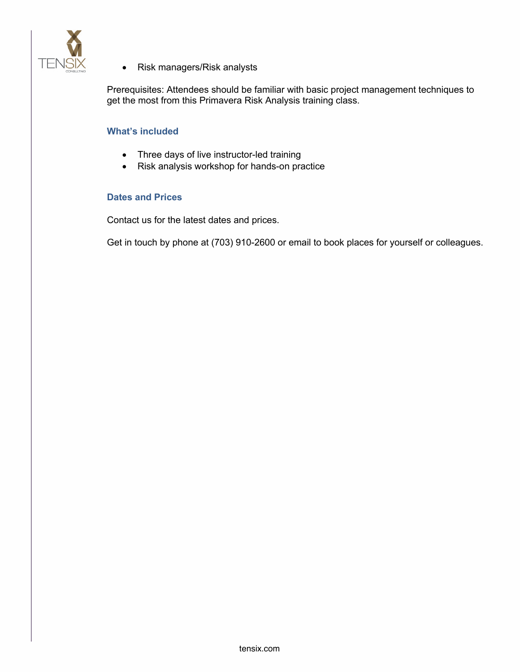

• Risk managers/Risk analysts

Prerequisites: Attendees should be familiar with basic project management techniques to get the most from this Primavera Risk Analysis training class.

## **What's included**

- Three days of live instructor-led training
- Risk analysis workshop for hands-on practice

#### **Dates and Prices**

Contact us for the latest dates and prices.

Get in touch by phone at (703) 910-2600 or email to book places for yourself or colleagues.